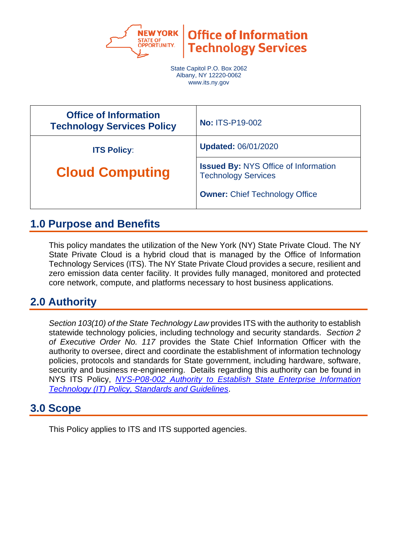

**Office of Information Technology Services** 

State Capitol P.O. Box 2062 Albany, NY 12220-0062 www.its.ny.gov

| <b>Office of Information</b><br><b>Technology Services Policy</b> | <b>No: ITS-P19-002</b>                                                    |
|-------------------------------------------------------------------|---------------------------------------------------------------------------|
| <b>ITS Policy:</b>                                                | <b>Updated: 06/01/2020</b>                                                |
| <b>Cloud Computing</b>                                            | <b>Issued By: NYS Office of Information</b><br><b>Technology Services</b> |
|                                                                   | <b>Owner: Chief Technology Office</b>                                     |

## **1.0 Purpose and Benefits**

This policy mandates the utilization of the New York (NY) State Private Cloud. The NY State Private Cloud is a hybrid cloud that is managed by the Office of Information Technology Services (ITS). The NY State Private Cloud provides a secure, resilient and zero emission data center facility. It provides fully managed, monitored and protected core network, compute, and platforms necessary to host business applications.

# **2.0 Authority**

*Section 103(10) of the State Technology Law* provides ITS with the authority to establish statewide technology policies, including technology and security standards. *Section 2 of Executive Order No. 117* provides the State Chief Information Officer with the authority to oversee, direct and coordinate the establishment of information technology policies, protocols and standards for State government, including hardware, software, security and business re-engineering. Details regarding this authority can be found in NYS ITS Policy, *[NYS-P08-002 Authority to Establish State Enterprise Information](https://its.ny.gov/document/authority-establish-state-enterprise-information-technology-it-policy-standards-and-guidelines)  [Technology \(IT\) Policy, Standards and Guidelines](https://its.ny.gov/document/authority-establish-state-enterprise-information-technology-it-policy-standards-and-guidelines)*.

### **3.0 Scope**

This Policy applies to ITS and ITS supported agencies.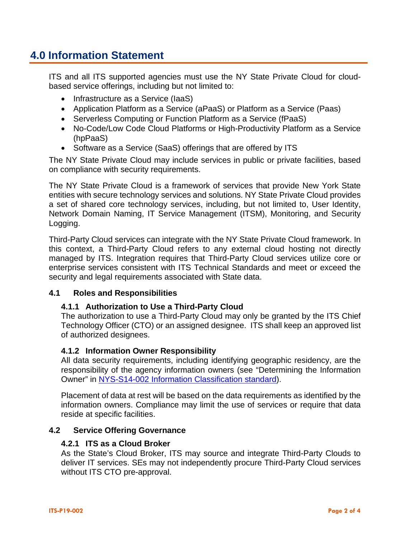# **4.0 Information Statement**

ITS and all ITS supported agencies must use the NY State Private Cloud for cloudbased service offerings, including but not limited to:

- Infrastructure as a Service (IaaS)
- Application Platform as a Service (aPaaS) or Platform as a Service (Paas)
- Serverless Computing or Function Platform as a Service (fPaaS)
- No-Code/Low Code Cloud Platforms or High-Productivity Platform as a Service (hpPaaS)
- Software as a Service (SaaS) offerings that are offered by ITS

The NY State Private Cloud may include services in public or private facilities, based on compliance with security requirements.

The NY State Private Cloud is a framework of services that provide New York State entities with secure technology services and solutions. NY State Private Cloud provides a set of shared core technology services, including, but not limited to, User Identity, Network Domain Naming, IT Service Management (ITSM), Monitoring, and Security Logging.

Third-Party Cloud services can integrate with the NY State Private Cloud framework. In this context, a Third-Party Cloud refers to any external cloud hosting not directly managed by ITS. Integration requires that Third-Party Cloud services utilize core or enterprise services consistent with ITS Technical Standards and meet or exceed the security and legal requirements associated with State data.

#### **4.1 Roles and Responsibilities**

#### **4.1.1 Authorization to Use a Third-Party Cloud**

The authorization to use a Third-Party Cloud may only be granted by the ITS Chief Technology Officer (CTO) or an assigned designee. ITS shall keep an approved list of authorized designees.

#### **4.1.2 Information Owner Responsibility**

All data security requirements, including identifying geographic residency, are the responsibility of the agency information owners (see "Determining the Information Owner" in [NYS-S14-002 Information Classification standard\)](https://its.ny.gov/document/information-classification-standard).

Placement of data at rest will be based on the data requirements as identified by the information owners. Compliance may limit the use of services or require that data reside at specific facilities.

#### **4.2 Service Offering Governance**

#### **4.2.1 ITS as a Cloud Broker**

As the State's Cloud Broker, ITS may source and integrate Third-Party Clouds to deliver IT services. SEs may not independently procure Third-Party Cloud services without ITS CTO pre-approval.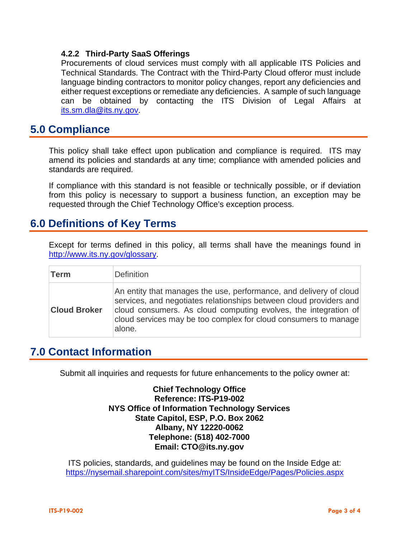#### **4.2.2 Third-Party SaaS Offerings**

Procurements of cloud services must comply with all applicable ITS Policies and Technical Standards. The Contract with the Third-Party Cloud offeror must include language binding contractors to monitor policy changes, report any deficiencies and either request exceptions or remediate any deficiencies. A sample of such language can be obtained by contacting the ITS Division of Legal Affairs at [its.sm.dla@its.ny.gov.](mailto:its.sm.dla@its.ny.gov)

### **5.0 Compliance**

This policy shall take effect upon publication and compliance is required. ITS may amend its policies and standards at any time; compliance with amended policies and standards are required.

If compliance with this standard is not feasible or technically possible, or if deviation from this policy is necessary to support a business function, an exception may be requested through the Chief Technology Office's exception process.

### **6.0 Definitions of Key Terms**

Except for terms defined in this policy, all terms shall have the meanings found in [http://www.its.ny.gov/glossary.](http://www.its.ny.gov/glossary)

| <b>Term</b>         | <b>Definition</b>                                                                                                                                                                                                                                                                        |
|---------------------|------------------------------------------------------------------------------------------------------------------------------------------------------------------------------------------------------------------------------------------------------------------------------------------|
| <b>Cloud Broker</b> | An entity that manages the use, performance, and delivery of cloud<br>services, and negotiates relationships between cloud providers and<br>cloud consumers. As cloud computing evolves, the integration of<br>cloud services may be too complex for cloud consumers to manage<br>alone. |

### **7.0 Contact Information**

Submit all inquiries and requests for future enhancements to the policy owner at:

**Chief Technology Office Reference: ITS-P19-002 NYS Office of Information Technology Services State Capitol, ESP, P.O. Box 2062 Albany, NY 12220-0062 Telephone: (518) 402-7000 Email: [CTO@its.ny.gov](mailto:CTO@its.ny.gov)**

ITS policies, standards, and guidelines may be found on the Inside Edge at: <https://nysemail.sharepoint.com/sites/myITS/InsideEdge/Pages/Policies.aspx>